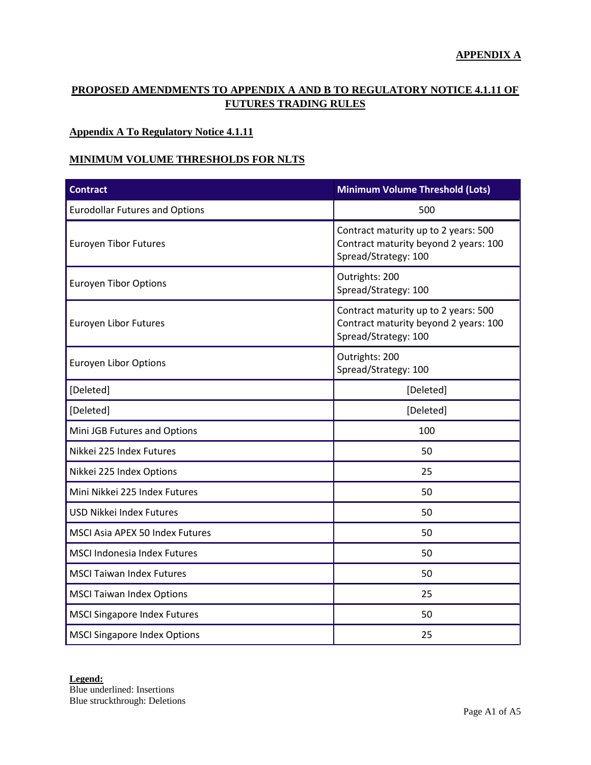### **APPENDIX A**

## **PROPOSED AMENDMENTS TO APPENDIX A AND B TO REGULATORY NOTICE 4.1.11 OF FUTURES TRADING RULES**

### **Appendix A To Regulatory Notice 4.1.11**

### **MINIMUM VOLUME THRESHOLDS FOR NLTS**

| <b>Contract</b>                        | <b>Minimum Volume Threshold (Lots)</b>                                                                |  |
|----------------------------------------|-------------------------------------------------------------------------------------------------------|--|
| <b>Eurodollar Futures and Options</b>  | 500                                                                                                   |  |
| <b>Euroyen Tibor Futures</b>           | Contract maturity up to 2 years: 500<br>Contract maturity beyond 2 years: 100<br>Spread/Strategy: 100 |  |
| <b>Euroyen Tibor Options</b>           | Outrights: 200<br>Spread/Strategy: 100                                                                |  |
| Euroyen Libor Futures                  | Contract maturity up to 2 years: 500<br>Contract maturity beyond 2 years: 100<br>Spread/Strategy: 100 |  |
| <b>Euroyen Libor Options</b>           | Outrights: 200<br>Spread/Strategy: 100                                                                |  |
| [Deleted]                              | [Deleted]                                                                                             |  |
| [Deleted]                              | [Deleted]                                                                                             |  |
| Mini JGB Futures and Options           | 100                                                                                                   |  |
| Nikkei 225 Index Futures               | 50                                                                                                    |  |
| Nikkei 225 Index Options               | 25                                                                                                    |  |
| Mini Nikkei 225 Index Futures          | 50                                                                                                    |  |
| <b>USD Nikkei Index Futures</b>        | 50                                                                                                    |  |
| <b>MSCI Asia APEX 50 Index Futures</b> | 50                                                                                                    |  |
| <b>MSCI Indonesia Index Futures</b>    | 50                                                                                                    |  |
| <b>MSCI Taiwan Index Futures</b>       | 50                                                                                                    |  |
| <b>MSCI Taiwan Index Options</b>       | 25                                                                                                    |  |
| <b>MSCI Singapore Index Futures</b>    | 50                                                                                                    |  |
| <b>MSCI Singapore Index Options</b>    | 25                                                                                                    |  |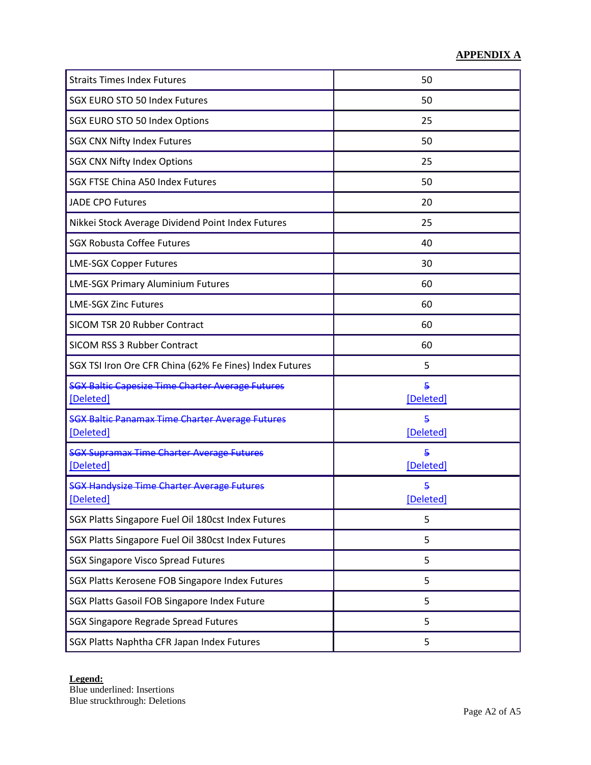| <b>Straits Times Index Futures</b>                                   | 50             |
|----------------------------------------------------------------------|----------------|
| <b>SGX EURO STO 50 Index Futures</b>                                 | 50             |
| SGX EURO STO 50 Index Options                                        | 25             |
| <b>SGX CNX Nifty Index Futures</b>                                   | 50             |
| <b>SGX CNX Nifty Index Options</b>                                   | 25             |
| <b>SGX FTSE China A50 Index Futures</b>                              | 50             |
| <b>JADE CPO Futures</b>                                              | 20             |
| Nikkei Stock Average Dividend Point Index Futures                    | 25             |
| <b>SGX Robusta Coffee Futures</b>                                    | 40             |
| <b>LME-SGX Copper Futures</b>                                        | 30             |
| <b>LME-SGX Primary Aluminium Futures</b>                             | 60             |
| <b>LME-SGX Zinc Futures</b>                                          | 60             |
| SICOM TSR 20 Rubber Contract                                         | 60             |
| SICOM RSS 3 Rubber Contract                                          | 60             |
| SGX TSI Iron Ore CFR China (62% Fe Fines) Index Futures              | 5              |
| <b>SGX Baltic Capesize Time Charter Average Futures</b><br>[Deleted] | 5<br>[Deleted] |
| <b>SGX Baltic Panamax Time Charter Average Futures</b><br>[Deleted]  | 5<br>[Deleted] |
| <b>SGX Supramax Time Charter Average Futures</b><br>[Deleted]        | 5<br>[Deleted] |
| <b>SGX Handysize Time Charter Average Futures</b><br>[Deleted]       | 5<br>[Deleted] |
| SGX Platts Singapore Fuel Oil 180cst Index Futures                   | 5              |
| SGX Platts Singapore Fuel Oil 380cst Index Futures                   | 5              |
| <b>SGX Singapore Visco Spread Futures</b>                            | 5              |
| SGX Platts Kerosene FOB Singapore Index Futures                      | 5              |
| SGX Platts Gasoil FOB Singapore Index Future                         | 5              |
| <b>SGX Singapore Regrade Spread Futures</b>                          | 5              |
| SGX Platts Naphtha CFR Japan Index Futures                           | 5              |

Blue underlined: Insertions Blue struckthrough: Deletions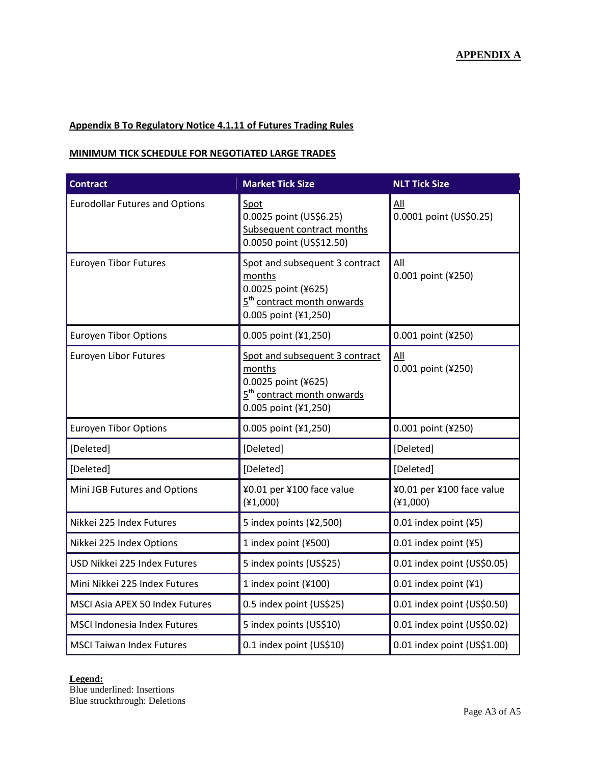#### **Appendix B To Regulatory Notice 4.1.11 of Futures Trading Rules**

#### **MINIMUM TICK SCHEDULE FOR NEGOTIATED LARGE TRADES**

| <b>Contract</b>                       | <b>Market Tick Size</b>                                                                                                           | <b>NLT Tick Size</b>                             |
|---------------------------------------|-----------------------------------------------------------------------------------------------------------------------------------|--------------------------------------------------|
| <b>Eurodollar Futures and Options</b> | Spot<br>0.0025 point (US\$6.25)<br>Subsequent contract months<br>0.0050 point (US\$12.50)                                         | All<br>0.0001 point (US\$0.25)                   |
| <b>Euroyen Tibor Futures</b>          | Spot and subsequent 3 contract<br>months<br>0.0025 point (¥625)<br>5 <sup>th</sup> contract month onwards<br>0.005 point (¥1,250) | $\underline{\mathsf{All}}$<br>0.001 point (¥250) |
| <b>Euroyen Tibor Options</b>          | 0.005 point (¥1,250)                                                                                                              | 0.001 point (¥250)                               |
| <b>Euroyen Libor Futures</b>          | Spot and subsequent 3 contract<br>months<br>0.0025 point (¥625)<br>5 <sup>th</sup> contract month onwards<br>0.005 point (¥1,250) | All<br>0.001 point (¥250)                        |
| <b>Euroyen Tibor Options</b>          | 0.005 point (¥1,250)                                                                                                              | 0.001 point (¥250)                               |
| [Deleted]                             | [Deleted]                                                                                                                         | [Deleted]                                        |
| [Deleted]                             | [Deleted]                                                                                                                         | [Deleted]                                        |
| Mini JGB Futures and Options          | ¥0.01 per ¥100 face value<br>(41,000)                                                                                             | ¥0.01 per ¥100 face value<br>(41,000)            |
| Nikkei 225 Index Futures              | 5 index points (¥2,500)                                                                                                           | $0.01$ index point (¥5)                          |
| Nikkei 225 Index Options              | 1 index point (¥500)                                                                                                              | $0.01$ index point (¥5)                          |
| USD Nikkei 225 Index Futures          | 5 index points (US\$25)                                                                                                           | 0.01 index point (US\$0.05)                      |
| Mini Nikkei 225 Index Futures         | 1 index point (¥100)                                                                                                              | 0.01 index point $(41)$                          |
| MSCI Asia APEX 50 Index Futures       | 0.5 index point (US\$25)                                                                                                          | 0.01 index point (US\$0.50)                      |
| <b>MSCI Indonesia Index Futures</b>   | 5 index points (US\$10)                                                                                                           | 0.01 index point (US\$0.02)                      |
| <b>MSCI Taiwan Index Futures</b>      | 0.1 index point (US\$10)                                                                                                          | 0.01 index point (US\$1.00)                      |

#### **Legend:**

Blue underlined: Insertions Blue struckthrough: Deletions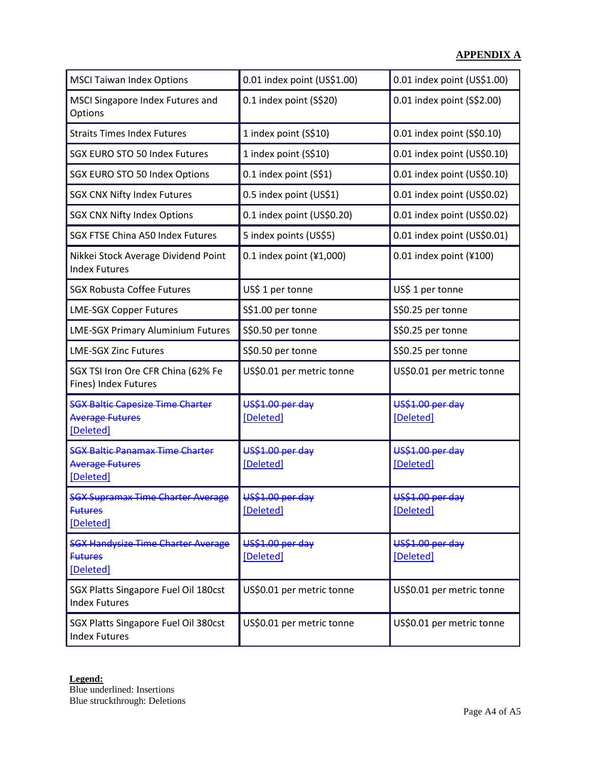| <b>MSCI Taiwan Index Options</b>                                               | 0.01 index point (US\$1.00)   | 0.01 index point (US\$1.00)   |
|--------------------------------------------------------------------------------|-------------------------------|-------------------------------|
| MSCI Singapore Index Futures and<br>Options                                    | 0.1 index point (S\$20)       | 0.01 index point (S\$2.00)    |
| <b>Straits Times Index Futures</b>                                             | 1 index point (S\$10)         | 0.01 index point (S\$0.10)    |
| <b>SGX EURO STO 50 Index Futures</b>                                           | 1 index point (S\$10)         | 0.01 index point (US\$0.10)   |
| SGX EURO STO 50 Index Options                                                  | 0.1 index point (S\$1)        | 0.01 index point (US\$0.10)   |
| <b>SGX CNX Nifty Index Futures</b>                                             | 0.5 index point (US\$1)       | 0.01 index point (US\$0.02)   |
| <b>SGX CNX Nifty Index Options</b>                                             | 0.1 index point (US\$0.20)    | 0.01 index point (US\$0.02)   |
| <b>SGX FTSE China A50 Index Futures</b>                                        | 5 index points (US\$5)        | 0.01 index point (US\$0.01)   |
| Nikkei Stock Average Dividend Point<br><b>Index Futures</b>                    | $0.1$ index point (¥1,000)    | $0.01$ index point (¥100)     |
| <b>SGX Robusta Coffee Futures</b>                                              | US\$ 1 per tonne              | US\$ 1 per tonne              |
| <b>LME-SGX Copper Futures</b>                                                  | S\$1.00 per tonne             | S\$0.25 per tonne             |
| <b>LME-SGX Primary Aluminium Futures</b>                                       | S\$0.50 per tonne             | S\$0.25 per tonne             |
| <b>LME-SGX Zinc Futures</b>                                                    | S\$0.50 per tonne             | S\$0.25 per tonne             |
| SGX TSI Iron Ore CFR China (62% Fe<br>Fines) Index Futures                     | US\$0.01 per metric tonne     | US\$0.01 per metric tonne     |
| <b>SGX Baltic Capesize Time Charter</b><br><b>Average Futures</b><br>[Deleted] | US\$1.00 per day<br>[Deleted] | US\$1.00 per day<br>[Deleted] |
| <b>SGX Baltic Panamax Time Charter</b><br><b>Average Futures</b><br>[Deleted]  | US\$1.00 per day<br>[Deleted] | US\$1.00 per day<br>[Deleted] |
| <b>SGX Supramax Time Charter Average</b><br><b>Futures</b><br>[Deleted]        | US\$1.00 per day<br>[Deleted] | US\$1.00 per day<br>[Deleted] |
| <b>SGX Handysize Time Charter Average</b><br><b>Futures</b><br>[Deleted]       | US\$1.00 per day<br>[Deleted] | US\$1.00 per day<br>[Deleted] |
| SGX Platts Singapore Fuel Oil 180cst<br><b>Index Futures</b>                   | US\$0.01 per metric tonne     | US\$0.01 per metric tonne     |
| SGX Platts Singapore Fuel Oil 380cst<br><b>Index Futures</b>                   | US\$0.01 per metric tonne     | US\$0.01 per metric tonne     |